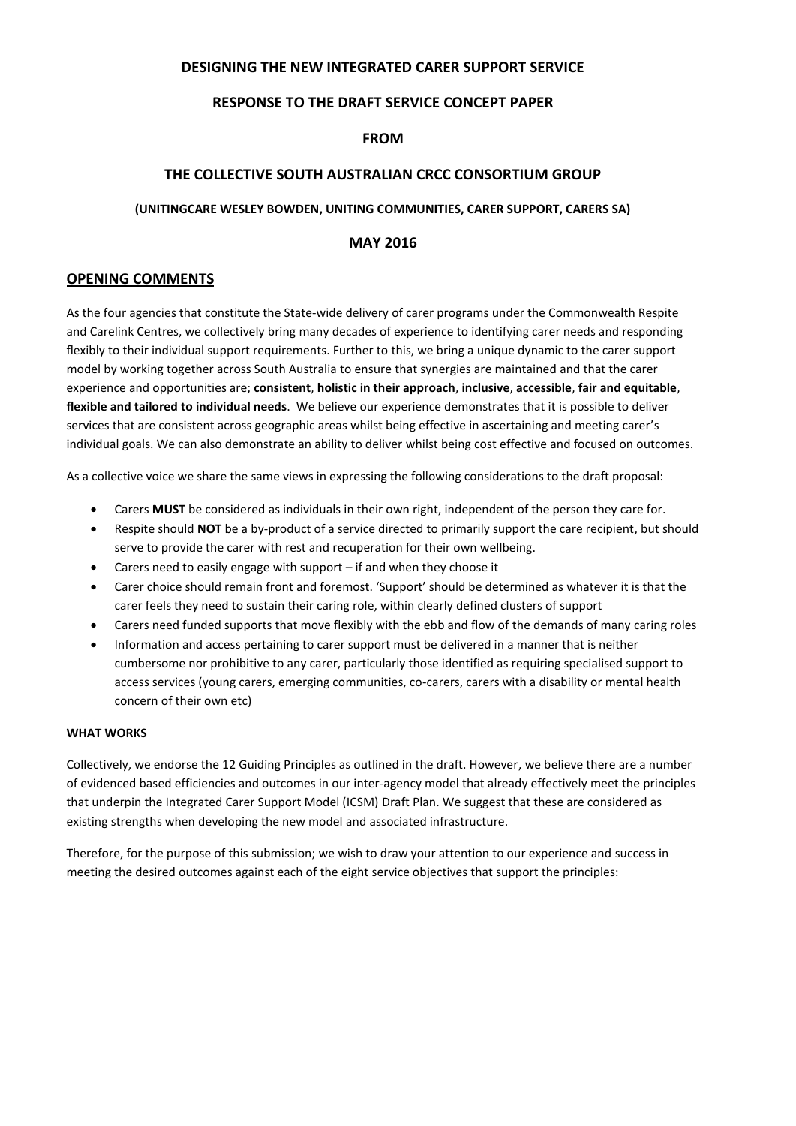# **DESIGNING THE NEW INTEGRATED CARER SUPPORT SERVICE**

# **RESPONSE TO THE DRAFT SERVICE CONCEPT PAPER**

### **FROM**

# **THE COLLECTIVE SOUTH AUSTRALIAN CRCC CONSORTIUM GROUP**

#### **(UNITINGCARE WESLEY BOWDEN, UNITING COMMUNITIES, CARER SUPPORT, CARERS SA)**

# **MAY 2016**

#### **OPENING COMMENTS**

As the four agencies that constitute the State-wide delivery of carer programs under the Commonwealth Respite and Carelink Centres, we collectively bring many decades of experience to identifying carer needs and responding flexibly to their individual support requirements. Further to this, we bring a unique dynamic to the carer support model by working together across South Australia to ensure that synergies are maintained and that the carer experience and opportunities are; **consistent**, **holistic in their approach**, **inclusive**, **accessible**, **fair and equitable**, **flexible and tailored to individual needs**. We believe our experience demonstrates that it is possible to deliver services that are consistent across geographic areas whilst being effective in ascertaining and meeting carer's individual goals. We can also demonstrate an ability to deliver whilst being cost effective and focused on outcomes.

As a collective voice we share the same views in expressing the following considerations to the draft proposal:

- Carers **MUST** be considered as individuals in their own right, independent of the person they care for.
- Respite should **NOT** be a by-product of a service directed to primarily support the care recipient, but should serve to provide the carer with rest and recuperation for their own wellbeing.
- Carers need to easily engage with support if and when they choose it
- Carer choice should remain front and foremost. 'Support' should be determined as whatever it is that the carer feels they need to sustain their caring role, within clearly defined clusters of support
- Carers need funded supports that move flexibly with the ebb and flow of the demands of many caring roles
- Information and access pertaining to carer support must be delivered in a manner that is neither cumbersome nor prohibitive to any carer, particularly those identified as requiring specialised support to access services (young carers, emerging communities, co-carers, carers with a disability or mental health concern of their own etc)

#### **WHAT WORKS**

Collectively, we endorse the 12 Guiding Principles as outlined in the draft. However, we believe there are a number of evidenced based efficiencies and outcomes in our inter-agency model that already effectively meet the principles that underpin the Integrated Carer Support Model (ICSM) Draft Plan. We suggest that these are considered as existing strengths when developing the new model and associated infrastructure.

Therefore, for the purpose of this submission; we wish to draw your attention to our experience and success in meeting the desired outcomes against each of the eight service objectives that support the principles: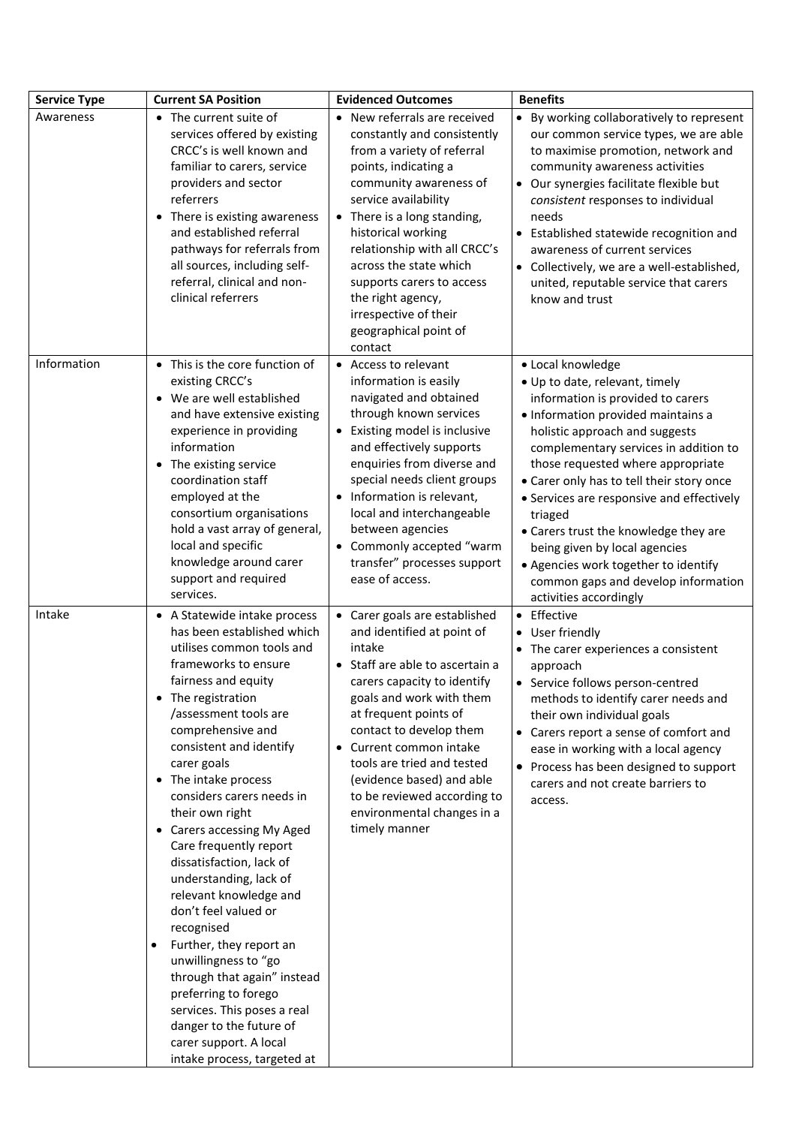| <b>Service Type</b> | <b>Current SA Position</b>                                                                                                                                                                                                                                                                                                                                                                                                                                                                                                                                                                                                                                                                                                                                      | <b>Evidenced Outcomes</b>                                                                                                                                                                                                                                                                                                                                                                         | <b>Benefits</b>                                                                                                                                                                                                                                                                                                                                                                                                                                                                                                                        |
|---------------------|-----------------------------------------------------------------------------------------------------------------------------------------------------------------------------------------------------------------------------------------------------------------------------------------------------------------------------------------------------------------------------------------------------------------------------------------------------------------------------------------------------------------------------------------------------------------------------------------------------------------------------------------------------------------------------------------------------------------------------------------------------------------|---------------------------------------------------------------------------------------------------------------------------------------------------------------------------------------------------------------------------------------------------------------------------------------------------------------------------------------------------------------------------------------------------|----------------------------------------------------------------------------------------------------------------------------------------------------------------------------------------------------------------------------------------------------------------------------------------------------------------------------------------------------------------------------------------------------------------------------------------------------------------------------------------------------------------------------------------|
| Awareness           | • The current suite of<br>services offered by existing<br>CRCC's is well known and<br>familiar to carers, service<br>providers and sector<br>referrers<br>• There is existing awareness<br>and established referral<br>pathways for referrals from<br>all sources, including self-<br>referral, clinical and non-<br>clinical referrers                                                                                                                                                                                                                                                                                                                                                                                                                         | • New referrals are received<br>constantly and consistently<br>from a variety of referral<br>points, indicating a<br>community awareness of<br>service availability<br>• There is a long standing,<br>historical working<br>relationship with all CRCC's<br>across the state which<br>supports carers to access<br>the right agency,<br>irrespective of their<br>geographical point of<br>contact | • By working collaboratively to represent<br>our common service types, we are able<br>to maximise promotion, network and<br>community awareness activities<br>Our synergies facilitate flexible but<br>$\bullet$<br>consistent responses to individual<br>needs<br>Established statewide recognition and<br>awareness of current services<br>• Collectively, we are a well-established,<br>united, reputable service that carers<br>know and trust                                                                                     |
| Information         | • This is the core function of<br>existing CRCC's<br>• We are well established<br>and have extensive existing<br>experience in providing<br>information<br>The existing service<br>coordination staff<br>employed at the<br>consortium organisations<br>hold a vast array of general,<br>local and specific<br>knowledge around carer<br>support and required<br>services.                                                                                                                                                                                                                                                                                                                                                                                      | • Access to relevant<br>information is easily<br>navigated and obtained<br>through known services<br>• Existing model is inclusive<br>and effectively supports<br>enquiries from diverse and<br>special needs client groups<br>• Information is relevant,<br>local and interchangeable<br>between agencies<br>• Commonly accepted "warm<br>transfer" processes support<br>ease of access.         | • Local knowledge<br>• Up to date, relevant, timely<br>information is provided to carers<br>· Information provided maintains a<br>holistic approach and suggests<br>complementary services in addition to<br>those requested where appropriate<br>• Carer only has to tell their story once<br>• Services are responsive and effectively<br>triaged<br>• Carers trust the knowledge they are<br>being given by local agencies<br>• Agencies work together to identify<br>common gaps and develop information<br>activities accordingly |
| Intake              | • A Statewide intake process<br>has been established which<br>utilises common tools and<br>frameworks to ensure<br>fairness and equity<br>• The registration<br>/assessment tools are<br>comprehensive and<br>consistent and identify<br>carer goals<br>The intake process<br>$\bullet$<br>considers carers needs in<br>their own right<br>• Carers accessing My Aged<br>Care frequently report<br>dissatisfaction, lack of<br>understanding, lack of<br>relevant knowledge and<br>don't feel valued or<br>recognised<br>Further, they report an<br>$\bullet$<br>unwillingness to "go<br>through that again" instead<br>preferring to forego<br>services. This poses a real<br>danger to the future of<br>carer support. A local<br>intake process, targeted at | • Carer goals are established<br>and identified at point of<br>intake<br>• Staff are able to ascertain a<br>carers capacity to identify<br>goals and work with them<br>at frequent points of<br>contact to develop them<br>• Current common intake<br>tools are tried and tested<br>(evidence based) and able<br>to be reviewed according to<br>environmental changes in a<br>timely manner       | • Effective<br>User friendly<br>The carer experiences a consistent<br>approach<br>• Service follows person-centred<br>methods to identify carer needs and<br>their own individual goals<br>Carers report a sense of comfort and<br>$\bullet$<br>ease in working with a local agency<br>• Process has been designed to support<br>carers and not create barriers to<br>access.                                                                                                                                                          |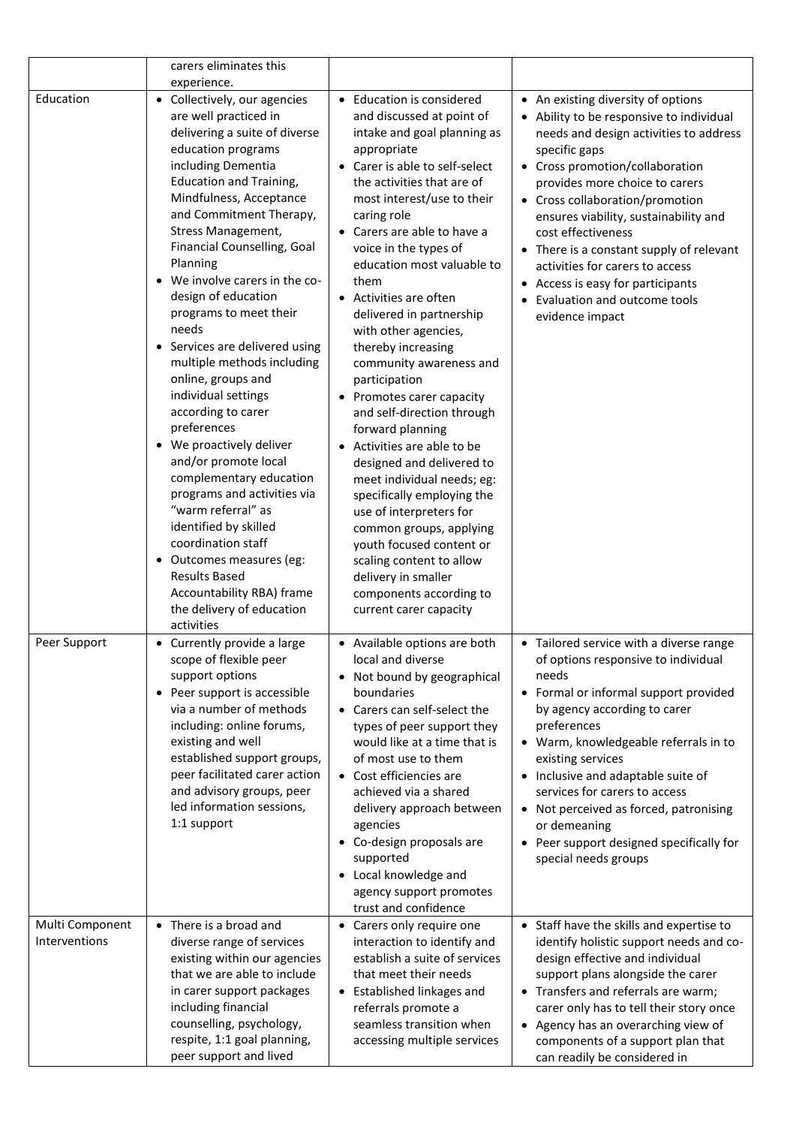|                                  | carers eliminates this                                                                                                                                                                                                                                                                                                                                                                                                                                                                                                                                                                                                                                                                                                                                                                                                                    |                                                                                                                                                                                                                                                                                                                                                                                                                                                                                                                                                                                                                                                                                                                                                                                                                                                                  |                                                                                                                                                                                                                                                                                                                                                                                                                                                                                         |
|----------------------------------|-------------------------------------------------------------------------------------------------------------------------------------------------------------------------------------------------------------------------------------------------------------------------------------------------------------------------------------------------------------------------------------------------------------------------------------------------------------------------------------------------------------------------------------------------------------------------------------------------------------------------------------------------------------------------------------------------------------------------------------------------------------------------------------------------------------------------------------------|------------------------------------------------------------------------------------------------------------------------------------------------------------------------------------------------------------------------------------------------------------------------------------------------------------------------------------------------------------------------------------------------------------------------------------------------------------------------------------------------------------------------------------------------------------------------------------------------------------------------------------------------------------------------------------------------------------------------------------------------------------------------------------------------------------------------------------------------------------------|-----------------------------------------------------------------------------------------------------------------------------------------------------------------------------------------------------------------------------------------------------------------------------------------------------------------------------------------------------------------------------------------------------------------------------------------------------------------------------------------|
|                                  | experience.                                                                                                                                                                                                                                                                                                                                                                                                                                                                                                                                                                                                                                                                                                                                                                                                                               |                                                                                                                                                                                                                                                                                                                                                                                                                                                                                                                                                                                                                                                                                                                                                                                                                                                                  |                                                                                                                                                                                                                                                                                                                                                                                                                                                                                         |
| Education                        | • Collectively, our agencies<br>are well practiced in<br>delivering a suite of diverse<br>education programs<br>including Dementia<br><b>Education and Training,</b><br>Mindfulness, Acceptance<br>and Commitment Therapy,<br>Stress Management,<br>Financial Counselling, Goal<br>Planning<br>We involve carers in the co-<br>design of education<br>programs to meet their<br>needs<br>Services are delivered using<br>multiple methods including<br>online, groups and<br>individual settings<br>according to carer<br>preferences<br>• We proactively deliver<br>and/or promote local<br>complementary education<br>programs and activities via<br>"warm referral" as<br>identified by skilled<br>coordination staff<br>Outcomes measures (eg:<br>٠<br><b>Results Based</b><br>Accountability RBA) frame<br>the delivery of education | • Education is considered<br>and discussed at point of<br>intake and goal planning as<br>appropriate<br>• Carer is able to self-select<br>the activities that are of<br>most interest/use to their<br>caring role<br>• Carers are able to have a<br>voice in the types of<br>education most valuable to<br>them<br>• Activities are often<br>delivered in partnership<br>with other agencies,<br>thereby increasing<br>community awareness and<br>participation<br>• Promotes carer capacity<br>and self-direction through<br>forward planning<br>• Activities are able to be<br>designed and delivered to<br>meet individual needs; eg:<br>specifically employing the<br>use of interpreters for<br>common groups, applying<br>youth focused content or<br>scaling content to allow<br>delivery in smaller<br>components according to<br>current carer capacity | • An existing diversity of options<br>• Ability to be responsive to individual<br>needs and design activities to address<br>specific gaps<br>• Cross promotion/collaboration<br>provides more choice to carers<br>• Cross collaboration/promotion<br>ensures viability, sustainability and<br>cost effectiveness<br>• There is a constant supply of relevant<br>activities for carers to access<br>• Access is easy for participants<br>Evaluation and outcome tools<br>evidence impact |
| Peer Support                     | activities<br>• Currently provide a large<br>scope of flexible peer<br>support options<br>Peer support is accessible<br>$\bullet$<br>via a number of methods<br>including: online forums,<br>existing and well<br>established support groups,<br>peer facilitated carer action<br>and advisory groups, peer<br>led information sessions,<br>1:1 support                                                                                                                                                                                                                                                                                                                                                                                                                                                                                   | • Available options are both<br>local and diverse<br>• Not bound by geographical<br>boundaries<br>• Carers can self-select the<br>types of peer support they<br>would like at a time that is<br>of most use to them<br>• Cost efficiencies are<br>achieved via a shared<br>delivery approach between<br>agencies<br>• Co-design proposals are<br>supported<br>• Local knowledge and<br>agency support promotes<br>trust and confidence                                                                                                                                                                                                                                                                                                                                                                                                                           | • Tailored service with a diverse range<br>of options responsive to individual<br>needs<br>• Formal or informal support provided<br>by agency according to carer<br>preferences<br>• Warm, knowledgeable referrals in to<br>existing services<br>• Inclusive and adaptable suite of<br>services for carers to access<br>• Not perceived as forced, patronising<br>or demeaning<br>Peer support designed specifically for<br>special needs groups                                        |
| Multi Component<br>Interventions | • There is a broad and<br>diverse range of services<br>existing within our agencies<br>that we are able to include<br>in carer support packages<br>including financial<br>counselling, psychology,<br>respite, 1:1 goal planning,<br>peer support and lived                                                                                                                                                                                                                                                                                                                                                                                                                                                                                                                                                                               | • Carers only require one<br>interaction to identify and<br>establish a suite of services<br>that meet their needs<br>• Established linkages and<br>referrals promote a<br>seamless transition when<br>accessing multiple services                                                                                                                                                                                                                                                                                                                                                                                                                                                                                                                                                                                                                               | • Staff have the skills and expertise to<br>identify holistic support needs and co-<br>design effective and individual<br>support plans alongside the carer<br>• Transfers and referrals are warm;<br>carer only has to tell their story once<br>• Agency has an overarching view of<br>components of a support plan that<br>can readily be considered in                                                                                                                               |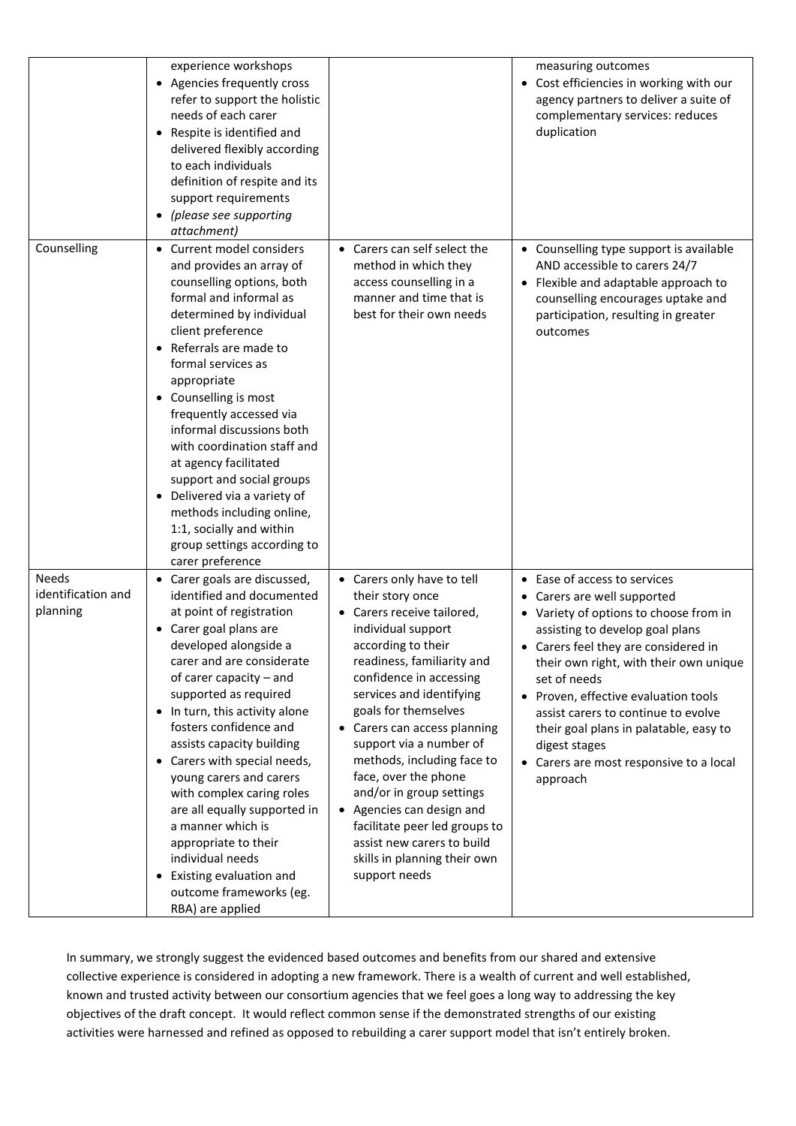|                                                | experience workshops<br>Agencies frequently cross<br>refer to support the holistic<br>needs of each carer<br>Respite is identified and<br>delivered flexibly according<br>to each individuals<br>definition of respite and its<br>support requirements<br>(please see supporting<br>attachment)                                                                                                                                                                                                                                                                                 |                                                                                                                                                                                                                                                                                                                                                                                                                                                                                                                                 | measuring outcomes<br>• Cost efficiencies in working with our<br>agency partners to deliver a suite of<br>complementary services: reduces<br>duplication                                                                                                                                                                                                                                                                                  |
|------------------------------------------------|---------------------------------------------------------------------------------------------------------------------------------------------------------------------------------------------------------------------------------------------------------------------------------------------------------------------------------------------------------------------------------------------------------------------------------------------------------------------------------------------------------------------------------------------------------------------------------|---------------------------------------------------------------------------------------------------------------------------------------------------------------------------------------------------------------------------------------------------------------------------------------------------------------------------------------------------------------------------------------------------------------------------------------------------------------------------------------------------------------------------------|-------------------------------------------------------------------------------------------------------------------------------------------------------------------------------------------------------------------------------------------------------------------------------------------------------------------------------------------------------------------------------------------------------------------------------------------|
| Counselling                                    | Current model considers<br>and provides an array of<br>counselling options, both<br>formal and informal as<br>determined by individual<br>client preference<br>Referrals are made to<br>formal services as<br>appropriate<br>• Counselling is most<br>frequently accessed via<br>informal discussions both<br>with coordination staff and<br>at agency facilitated<br>support and social groups<br>Delivered via a variety of<br>methods including online,<br>1:1, socially and within<br>group settings according to<br>carer preference                                       | • Carers can self select the<br>method in which they<br>access counselling in a<br>manner and time that is<br>best for their own needs                                                                                                                                                                                                                                                                                                                                                                                          | • Counselling type support is available<br>AND accessible to carers 24/7<br>• Flexible and adaptable approach to<br>counselling encourages uptake and<br>participation, resulting in greater<br>outcomes                                                                                                                                                                                                                                  |
| <b>Needs</b><br>identification and<br>planning | Carer goals are discussed,<br>identified and documented<br>at point of registration<br>Carer goal plans are<br>developed alongside a<br>carer and are considerate<br>of carer capacity - and<br>supported as required<br>• In turn, this activity alone<br>fosters confidence and<br>assists capacity building<br>Carers with special needs,<br>young carers and carers<br>with complex caring roles<br>are all equally supported in<br>a manner which is<br>appropriate to their<br>individual needs<br>Existing evaluation and<br>outcome frameworks (eg.<br>RBA) are applied | • Carers only have to tell<br>their story once<br>• Carers receive tailored,<br>individual support<br>according to their<br>readiness, familiarity and<br>confidence in accessing<br>services and identifying<br>goals for themselves<br>• Carers can access planning<br>support via a number of<br>methods, including face to<br>face, over the phone<br>and/or in group settings<br>• Agencies can design and<br>facilitate peer led groups to<br>assist new carers to build<br>skills in planning their own<br>support needs | • Ease of access to services<br>• Carers are well supported<br>• Variety of options to choose from in<br>assisting to develop goal plans<br>• Carers feel they are considered in<br>their own right, with their own unique<br>set of needs<br>• Proven, effective evaluation tools<br>assist carers to continue to evolve<br>their goal plans in palatable, easy to<br>digest stages<br>Carers are most responsive to a local<br>approach |

In summary, we strongly suggest the evidenced based outcomes and benefits from our shared and extensive collective experience is considered in adopting a new framework. There is a wealth of current and well established, known and trusted activity between our consortium agencies that we feel goes a long way to addressing the key objectives of the draft concept. It would reflect common sense if the demonstrated strengths of our existing activities were harnessed and refined as opposed to rebuilding a carer support model that isn't entirely broken.